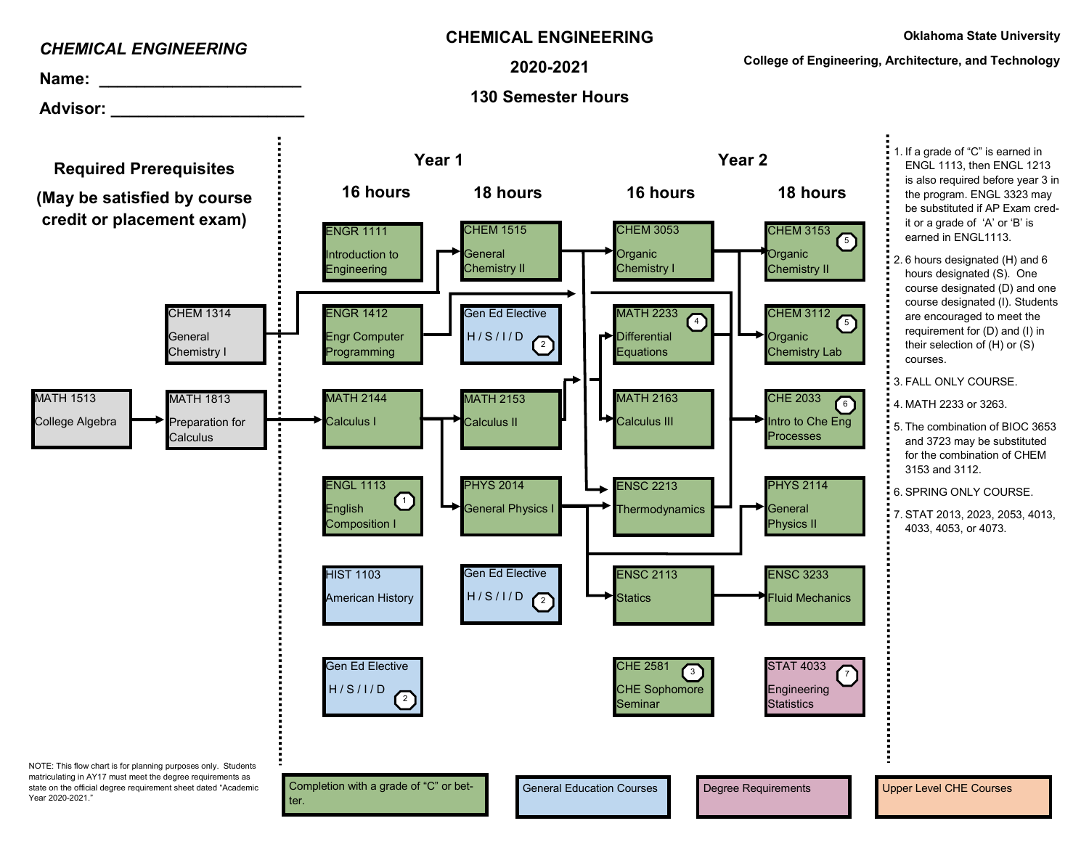